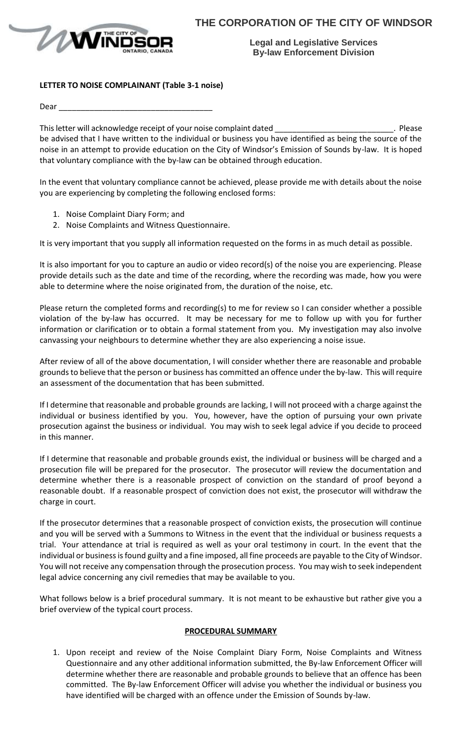

**Legal and Legislative Services By-law Enforcement Division**

## **LETTER TO NOISE COMPLAINANT (Table 3-1 noise)**

Dear  $\equiv$ 

This letter will acknowledge receipt of your noise complaint dated example the state of the state of the state of  $\sim$  Please be advised that I have written to the individual or business you have identified as being the source of the noise in an attempt to provide education on the City of Windsor's Emission of Sounds by-law. It is hoped that voluntary compliance with the by-law can be obtained through education.

In the event that voluntary compliance cannot be achieved, please provide me with details about the noise you are experiencing by completing the following enclosed forms:

- 1. Noise Complaint Diary Form; and
- 2. Noise Complaints and Witness Questionnaire.

It is very important that you supply all information requested on the forms in as much detail as possible.

It is also important for you to capture an audio or video record(s) of the noise you are experiencing. Please provide details such as the date and time of the recording, where the recording was made, how you were able to determine where the noise originated from, the duration of the noise, etc.

Please return the completed forms and recording(s) to me for review so I can consider whether a possible violation of the by-law has occurred. It may be necessary for me to follow up with you for further information or clarification or to obtain a formal statement from you. My investigation may also involve canvassing your neighbours to determine whether they are also experiencing a noise issue.

After review of all of the above documentation, I will consider whether there are reasonable and probable grounds to believe that the person or business has committed an offence under the by-law. This will require an assessment of the documentation that has been submitted.

If I determine that reasonable and probable grounds are lacking, I will not proceed with a charge against the individual or business identified by you. You, however, have the option of pursuing your own private prosecution against the business or individual. You may wish to seek legal advice if you decide to proceed in this manner.

If I determine that reasonable and probable grounds exist, the individual or business will be charged and a prosecution file will be prepared for the prosecutor. The prosecutor will review the documentation and determine whether there is a reasonable prospect of conviction on the standard of proof beyond a reasonable doubt. If a reasonable prospect of conviction does not exist, the prosecutor will withdraw the charge in court.

If the prosecutor determines that a reasonable prospect of conviction exists, the prosecution will continue and you will be served with a Summons to Witness in the event that the individual or business requests a trial. Your attendance at trial is required as well as your oral testimony in court. In the event that the individual or business is found guilty and a fine imposed, all fine proceeds are payable to the City of Windsor. You will not receive any compensation through the prosecution process. You may wish to seek independent legal advice concerning any civil remedies that may be available to you.

What follows below is a brief procedural summary. It is not meant to be exhaustive but rather give you a brief overview of the typical court process.

## **PROCEDURAL SUMMARY**

1. Upon receipt and review of the Noise Complaint Diary Form, Noise Complaints and Witness Questionnaire and any other additional information submitted, the By-law Enforcement Officer will determine whether there are reasonable and probable grounds to believe that an offence has been committed. The By-law Enforcement Officer will advise you whether the individual or business you have identified will be charged with an offence under the Emission of Sounds by-law.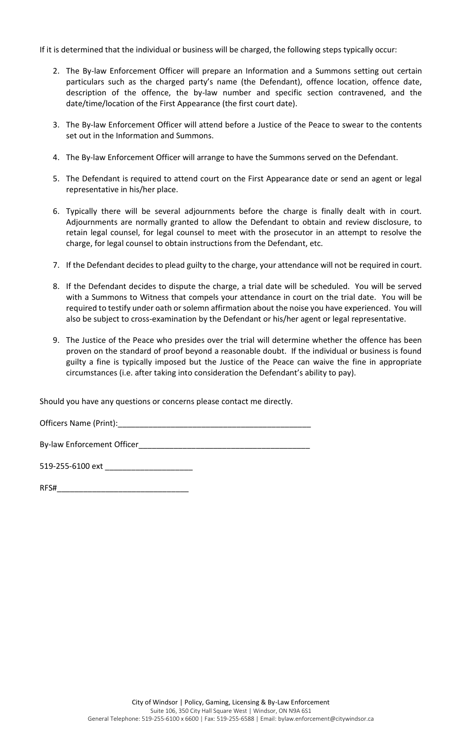If it is determined that the individual or business will be charged, the following steps typically occur:

- 2. The By-law Enforcement Officer will prepare an Information and a Summons setting out certain particulars such as the charged party's name (the Defendant), offence location, offence date, description of the offence, the by-law number and specific section contravened, and the date/time/location of the First Appearance (the first court date).
- 3. The By-law Enforcement Officer will attend before a Justice of the Peace to swear to the contents set out in the Information and Summons.
- 4. The By-law Enforcement Officer will arrange to have the Summons served on the Defendant.
- 5. The Defendant is required to attend court on the First Appearance date or send an agent or legal representative in his/her place.
- 6. Typically there will be several adjournments before the charge is finally dealt with in court. Adjournments are normally granted to allow the Defendant to obtain and review disclosure, to retain legal counsel, for legal counsel to meet with the prosecutor in an attempt to resolve the charge, for legal counsel to obtain instructions from the Defendant, etc.
- 7. If the Defendant decides to plead guilty to the charge, your attendance will not be required in court.
- 8. If the Defendant decides to dispute the charge, a trial date will be scheduled. You will be served with a Summons to Witness that compels your attendance in court on the trial date. You will be required to testify under oath or solemn affirmation about the noise you have experienced. You will also be subject to cross-examination by the Defendant or his/her agent or legal representative.
- 9. The Justice of the Peace who presides over the trial will determine whether the offence has been proven on the standard of proof beyond a reasonable doubt. If the individual or business is found guilty a fine is typically imposed but the Justice of the Peace can waive the fine in appropriate circumstances (i.e. after taking into consideration the Defendant's ability to pay).

Should you have any questions or concerns please contact me directly.

Officers Name (Print):

By-law Enforcement Officer

519-255-6100 ext

| RFS# |  |  |  |
|------|--|--|--|
|      |  |  |  |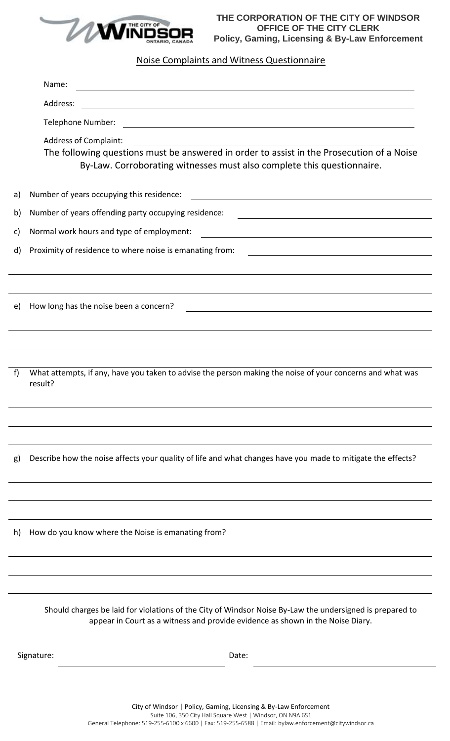

**THE CORPORATION OF THE CITY OF WINDSOR OFFICE OF THE CITY CLERK Policy, Gaming, Licensing & By-Law Enforcement**

## Noise Complaints and Witness Questionnaire

|    | Name:<br><u> 1980 - Johann Barn, mars an t-Amerikaansk politiker (* 1908)</u>                                                                                                                                                |  |  |  |  |  |  |
|----|------------------------------------------------------------------------------------------------------------------------------------------------------------------------------------------------------------------------------|--|--|--|--|--|--|
|    | Address:<br><u> 1989 - Johann Stoff, deutscher Stoff, der Stoff, der Stoff, der Stoff, der Stoff, der Stoff, der Stoff, der S</u>                                                                                            |  |  |  |  |  |  |
|    | Telephone Number:<br><u> 1989 - Johann Stoff, amerikansk politiker (d. 1989)</u>                                                                                                                                             |  |  |  |  |  |  |
|    | <b>Address of Complaint:</b><br>Address of Complaint:<br>The following questions must be answered in order to assist in the Prosecution of a Noise<br>By-Law. Corroborating witnesses must also complete this questionnaire. |  |  |  |  |  |  |
| a) | Number of years occupying this residence:                                                                                                                                                                                    |  |  |  |  |  |  |
| b) | Number of years offending party occupying residence:                                                                                                                                                                         |  |  |  |  |  |  |
| C) | Normal work hours and type of employment:<br><u> 1980 - Johann Barbara, martxa amerikan bashkar (</u>                                                                                                                        |  |  |  |  |  |  |
| d) | Proximity of residence to where noise is emanating from:                                                                                                                                                                     |  |  |  |  |  |  |
| e) | How long has the noise been a concern?<br><u> 1989 - Johann Stoff, deutscher Stoffen und der Stoffen und der Stoffen und der Stoffen und der Stoffen und de</u>                                                              |  |  |  |  |  |  |
| f  | What attempts, if any, have you taken to advise the person making the noise of your concerns and what was<br>result?                                                                                                         |  |  |  |  |  |  |
|    |                                                                                                                                                                                                                              |  |  |  |  |  |  |
| g) | Describe how the noise affects your quality of life and what changes have you made to mitigate the effects?                                                                                                                  |  |  |  |  |  |  |
|    |                                                                                                                                                                                                                              |  |  |  |  |  |  |
| h) | How do you know where the Noise is emanating from?                                                                                                                                                                           |  |  |  |  |  |  |
|    | Should charges be laid for violations of the City of Windsor Noise By-Law the undersigned is prepared to<br>appear in Court as a witness and provide evidence as shown in the Noise Diary.                                   |  |  |  |  |  |  |
|    | Signature:<br>Date:                                                                                                                                                                                                          |  |  |  |  |  |  |